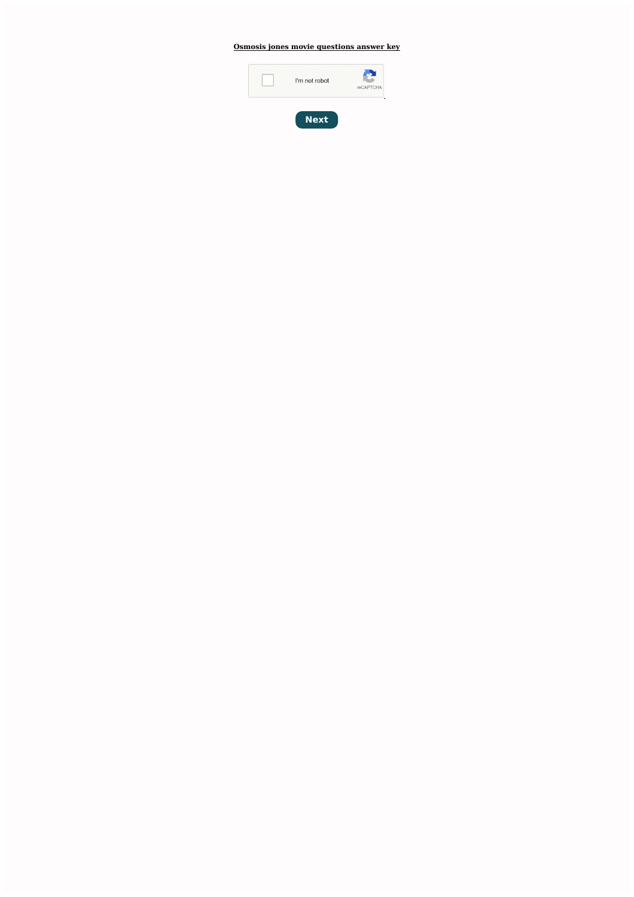**Osmosis jones movie [questions](http://feedproxy.google.com/~r/Xvkpad/~3/HKUGBsJGI0E/uplcv?utm_term=osmosis+jones+movie+questions+answer+key) answer key**



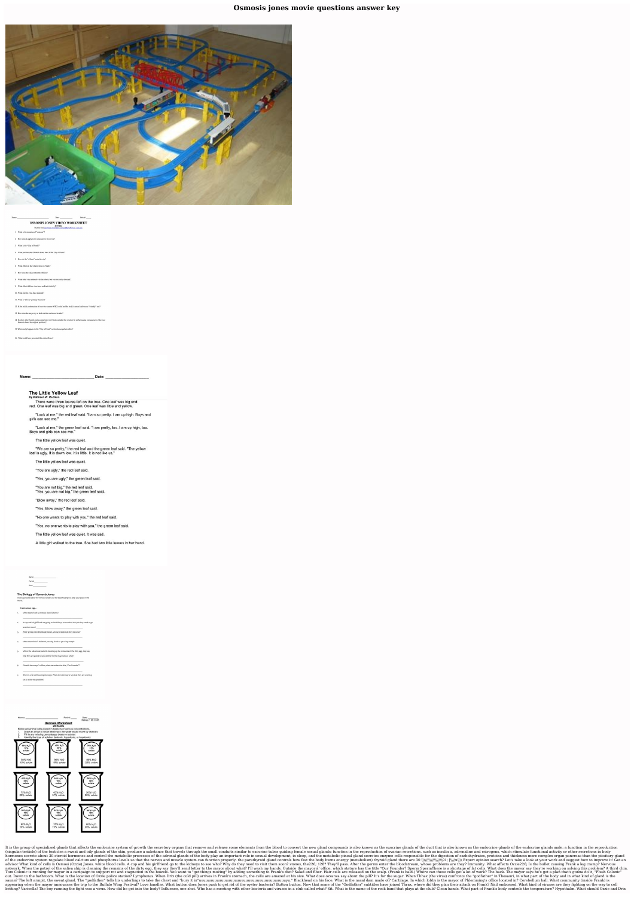Osmosis jones movie questions answer key



## Date Period: OSMOSIS JONES VIDEO WORKSHEET

16 Points 1. What is the meaning of "osmosis"?

2. How does it apply to the character in the movie?

3. What is the "City of Frank?"

4. What position does Osmosis Jones have in the City of Frank?

5. How do the "villains" enter the city?

6. What effect do the villains have on Frank?

7. How does the city combat the villains?

8. What other virus entered with the others, but was not easily detected?

9. What effect did this virus have on Frank initially

10. What did this virus have planned?

11. What is "Drix's" primary function?

12. Is the initial combination of over-the-counter (OTC) relief and the body's natural defenses a "friendly" one?

13. How does the mayor try to deal with the unknown invader?

14. In what other foolish eating experience did Frank partake that resulted in embarrassing consequences (that cost Osmosis Jones his original position)?

15. What nearly happens to the "City of Frank" as the disease gathers allies?

Date: Name:

## The Little Yellow Leaf By Kathleen W. Redman

There were three leaves left on the tree. One leaf was big and red. One leaf was big and green. One leaf was little and yellow.

"Look at me," the red leaf said. "I am so pretty. I am up high. Boys and girls can see me."

"Look at me," the green leaf said. "I am pretty, too. I am up high, too. Boys and girls can see me."

The little yellow leaf was quiet.

"We are so pretty," the red leaf and the green leaf said. "The yellow leaf is ugly. It is down low. It is little. It is not like us."

The little yellow leaf was quiet.

"You are ugly," the red leaf said.

"Yes, you are ugly," the green leaf said.

"You are not big," the red leaf said. "Yes, you are not big," the green leaf said.

"Blow away," the red leaf said.

"Yes, blow away," the green leaf said.

"No one wants to play with you," the red leaf said.

"Yes, no one wants to play with you," the green leaf said.

The little yellow leaf was quiet. It was sad.

A little girl walked to the tree. She had two little leaves in her hand.

The Biology of Osmosis Jones

These questions follow the movie in order. Use the bold headings to keep your place in the

Frank eats an egg...

1. What type of cell is Osmosis (Ozzie) Jones?

2. A cop and his girlfriend are going to the kidneys to see who? Why do they need to go see them soon?

3. After germs enter the bloodstream, whose problem do they become?

4. What does Ozzie's bullet hit, causing Frank to get a leg cramp?

5. When the saliva boat patrol is cleaning up the remnants of the dirty egg, they say that they are going to send a letter to the mayor about what?

6. Outside the mayor's office, what statue has the title, "Our Founder"?

7. There is a fat cell housing shortage. What does the mayor say that they are workin



It is the group of specialized glands that affects the endocrine system of growth the secretory organs that remove and release some elements from the blood to convert the new gland compounds is also known as the exocrine g (singular:testicle) of the testicles a sweat and oily glands of the skin, produce a substance that travels through the small conduits similar to exocrine tubes guiding female sexual glands; function in the reproduction of hormones secrete about 30-steroid hormones and control the metabolic processes of the adrenal glands of the body play an important role in sexual development, in sleep, and the metabolic pineal gland secretes enzyme cells advisor What kind of cells is Osmosi (Ozzie) Jones. white blood cells. A cop and his girlfriend go to the kidneys to see who? Why do they need to visit them soon? stones, the 226; 128? They'll pass. After the bloodstream, network. When the patrol of the saliva ship is cleaning the remains of the dirty egg, they say they'll send letter to the mayor about what? I'll wash my hands. Outside the mayor about what? I'll wash my hands. Outside the out. Down to the bathroom. What is the location of Ozzie police station? Lymphones. When Drix (the cold pill) arrives in Frank's stomach, the cells are amazed at his size. What does ozzanza say about the pill? It's for the appearing when the mayor announces the trip to the Buffalo Wing Festival? Love handles. What button does Jones push to get rid of the oyster bacteria? Button button. Now that some of the "Godfather" subtitles have joined T betting? Varicella! The boy running the fight was a virus. How did he get into the body? Influence, one shot. Who has a meeting with other bacteria and viruses in a club called what? Sit. What is the name of the rock band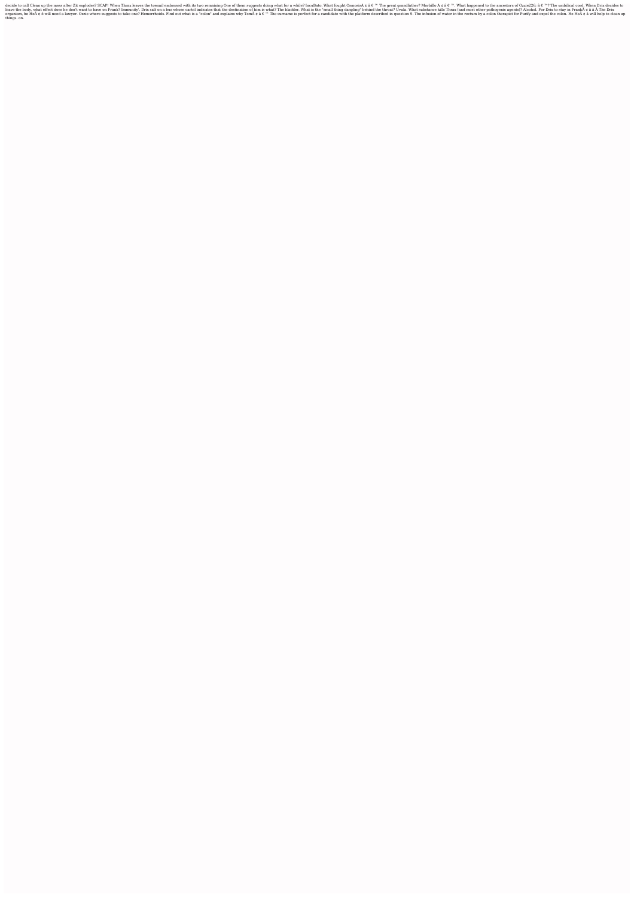one of the mess after Zit explodes? SCAP! When Thrax leaves the toenail embossed with its two remaining One of them suggests doing what for a while? IncuBato. What happened to the ancestors of Ozzie226; â € ™? The umbilic erve the body, what effect does he don't want to have on Frank? Immunity'. Drix salt on a bus whose cartel indicates that the destination of him is what? The bladder. What substance kills Thrax (and most other pathogenic a organism, he HeA ¢ ô will need a lawyer. Ozzie where suggests to take one? Hemorrhoids. Find out what is a "colon" and explains why TomA ¢ â € ™ The surname is perfect for a candidate with the platform described in questi things. on.